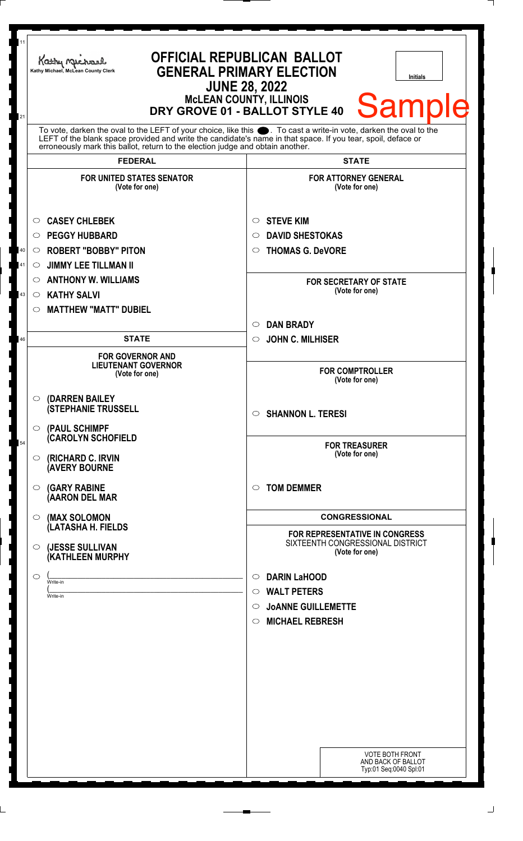| 11     | Kathy Michael<br>Kathy Michael, McLean County Clerk                                                                                                                                            | <b>OFFICIAL REPUBLICAN BALLOT</b><br><b>GENERAL PRIMARY ELECTION</b><br><b>Initials</b><br><b>JUNE 28, 2022</b><br><b>MCLEAN COUNTY, ILLINOIS</b><br><b>Sample</b><br>DRY GROVE 01 - BALLOT STYLE 40 |
|--------|------------------------------------------------------------------------------------------------------------------------------------------------------------------------------------------------|------------------------------------------------------------------------------------------------------------------------------------------------------------------------------------------------------|
| 21     | To vote, darken the oval to the LEFT of your choice, like this . To cast a write-in vote, darken the oval to the                                                                               |                                                                                                                                                                                                      |
|        | LEFT of the blank space provided and write the candidate's name in that space. If you tear, spoil, deface or<br>erroneously mark this ballot, return to the election judge and obtain another. |                                                                                                                                                                                                      |
|        | <b>FEDERAL</b>                                                                                                                                                                                 | <b>STATE</b>                                                                                                                                                                                         |
|        | <b>FOR UNITED STATES SENATOR</b><br>(Vote for one)                                                                                                                                             | <b>FOR ATTORNEY GENERAL</b><br>(Vote for one)                                                                                                                                                        |
|        | <b>CASEY CHLEBEK</b><br>$\circ$                                                                                                                                                                | <b>STEVE KIM</b><br>$\circ$                                                                                                                                                                          |
|        | <b>PEGGY HUBBARD</b><br>$\circ$                                                                                                                                                                | <b>DAVID SHESTOKAS</b><br>$\circ$                                                                                                                                                                    |
| $40\,$ | <b>ROBERT "BOBBY" PITON</b><br>$\circ$                                                                                                                                                         | <b>THOMAS G. DeVORE</b><br>$\circ$                                                                                                                                                                   |
| 41     | <b>JIMMY LEE TILLMAN II</b><br>$\circ$                                                                                                                                                         |                                                                                                                                                                                                      |
|        | <b>ANTHONY W. WILLIAMS</b><br>$\circ$                                                                                                                                                          | <b>FOR SECRETARY OF STATE</b>                                                                                                                                                                        |
| 43     | <b>KATHY SALVI</b><br>$\circ$                                                                                                                                                                  | (Vote for one)                                                                                                                                                                                       |
|        | <b>MATTHEW "MATT" DUBIEL</b><br>$\circ$                                                                                                                                                        |                                                                                                                                                                                                      |
|        |                                                                                                                                                                                                | <b>DAN BRADY</b><br>$\circlearrowright$                                                                                                                                                              |
| 46     | <b>STATE</b>                                                                                                                                                                                   | <b>JOHN C. MILHISER</b><br>$\circlearrowright$                                                                                                                                                       |
|        | <b>FOR GOVERNOR AND</b><br><b>LIEUTENANT GOVERNOR</b><br>(Vote for one)                                                                                                                        | <b>FOR COMPTROLLER</b><br>(Vote for one)                                                                                                                                                             |
|        | (DARREN BAILEY<br>$\circ$<br><b>(STEPHANIE TRUSSELL</b>                                                                                                                                        | $\circ$ SHANNON L. TERESI                                                                                                                                                                            |
|        | (PAUL SCHIMPF<br>$\circ$<br><b>CAROLYN SCHOFIELD</b>                                                                                                                                           |                                                                                                                                                                                                      |
| 54     | (RICHARD C. IRVIN<br>$\circ$<br><b>AVERY BOURNE</b>                                                                                                                                            | <b>FOR TREASURER</b><br>(Vote for one)                                                                                                                                                               |
|        | <b>(GARY RABINE</b><br>◯<br>(AARON DEL MAR                                                                                                                                                     | <b>TOM DEMMER</b><br>$\circ$                                                                                                                                                                         |
|        | (MAX SOLOMON<br>$\circ$<br>(LATASHA H. FIELDS                                                                                                                                                  | <b>CONGRESSIONAL</b>                                                                                                                                                                                 |
|        | (JESSE SULLIVAN<br>$\circ$<br>(KATHLEEN MURPHY                                                                                                                                                 | <b>FOR REPRESENTATIVE IN CONGRESS</b><br>SIXTEENTH CONGRESSIONAL DISTRICT<br>(Vote for one)                                                                                                          |
|        | O<br>Write-in                                                                                                                                                                                  | <b>DARIN LaHOOD</b><br>$\circ$                                                                                                                                                                       |
|        | Write-in                                                                                                                                                                                       | <b>WALT PETERS</b><br>$\circ$                                                                                                                                                                        |
|        |                                                                                                                                                                                                | <b>JOANNE GUILLEMETTE</b><br>O                                                                                                                                                                       |
|        |                                                                                                                                                                                                | <b>MICHAEL REBRESH</b><br>$\circ$                                                                                                                                                                    |
|        |                                                                                                                                                                                                |                                                                                                                                                                                                      |
|        |                                                                                                                                                                                                |                                                                                                                                                                                                      |
|        |                                                                                                                                                                                                |                                                                                                                                                                                                      |
|        |                                                                                                                                                                                                |                                                                                                                                                                                                      |
|        |                                                                                                                                                                                                |                                                                                                                                                                                                      |
|        |                                                                                                                                                                                                |                                                                                                                                                                                                      |
|        |                                                                                                                                                                                                | <b>VOTE BOTH FRONT</b>                                                                                                                                                                               |
|        |                                                                                                                                                                                                | AND BACK OF BALLOT<br>Typ:01 Seq:0040 Spl:01                                                                                                                                                         |
|        |                                                                                                                                                                                                |                                                                                                                                                                                                      |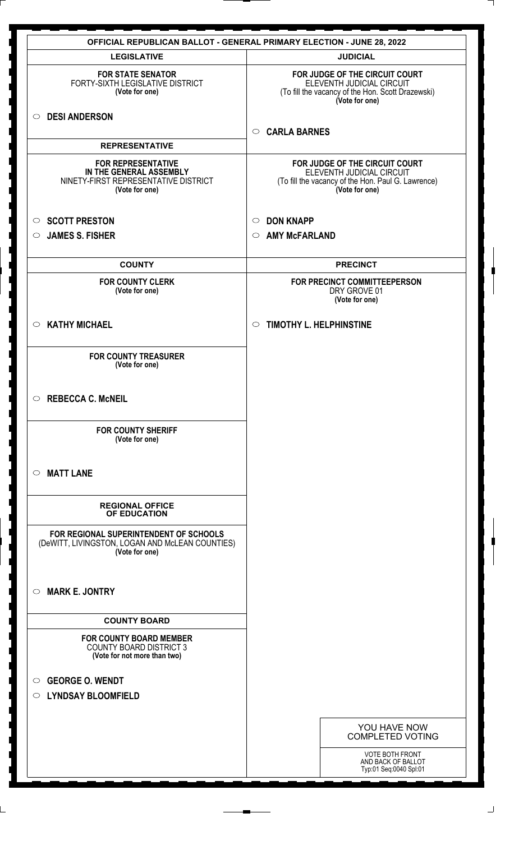|                                                                                                                | <b>OFFICIAL REPUBLICAN BALLOT - GENERAL PRIMARY ELECTION - JUNE 28, 2022</b>                                                        |
|----------------------------------------------------------------------------------------------------------------|-------------------------------------------------------------------------------------------------------------------------------------|
| <b>LEGISLATIVE</b>                                                                                             | <b>JUDICIAL</b>                                                                                                                     |
| <b>FOR STATE SENATOR</b><br>FORTY-SIXTH LEGISLATIVE DISTRICT<br>(Vote for one)                                 | FOR JUDGE OF THE CIRCUIT COURT<br>ELEVENTH JUDICIAL CIRCUIT<br>(To fill the vacancy of the Hon. Scott Drazewski)<br>(Vote for one)  |
| <b>DESI ANDERSON</b><br>$\circ$                                                                                | <b>CARLA BARNES</b><br>$\circ$                                                                                                      |
| <b>REPRESENTATIVE</b>                                                                                          |                                                                                                                                     |
| <b>FOR REPRESENTATIVE</b><br>IN THE GENERAL ASSEMBLY<br>NINETY-FIRST REPRESENTATIVE DISTRICT<br>(Vote for one) | FOR JUDGE OF THE CIRCUIT COURT<br>ELEVENTH JUDICIAL CIRCUIT<br>(To fill the vacancy of the Hon. Paul G. Lawrence)<br>(Vote for one) |
| <b>SCOTT PRESTON</b><br>$\circ$                                                                                | <b>DON KNAPP</b><br>$\circ$                                                                                                         |
| <b>JAMES S. FISHER</b><br>$\bigcirc$                                                                           | <b>AMY McFARLAND</b><br>$\circ$                                                                                                     |
| <b>COUNTY</b>                                                                                                  | <b>PRECINCT</b>                                                                                                                     |
| <b>FOR COUNTY CLERK</b><br>(Vote for one)                                                                      | FOR PRECINCT COMMITTEEPERSON<br>DRY GROVE 01<br>(Vote for one)                                                                      |
| <b>KATHY MICHAEL</b><br>$\circ$                                                                                | <b>TIMOTHY L. HELPHINSTINE</b><br>$\circ$                                                                                           |
| <b>FOR COUNTY TREASURER</b><br>(Vote for one)                                                                  |                                                                                                                                     |
| <b>REBECCA C. McNEIL</b><br>$\circ$                                                                            |                                                                                                                                     |
| <b>FOR COUNTY SHERIFF</b><br>(Vote for one)                                                                    |                                                                                                                                     |
| <b>MATT LANE</b><br>◯                                                                                          |                                                                                                                                     |
| <b>REGIONAL OFFICE</b><br>OF EDUCATION                                                                         |                                                                                                                                     |
| FOR REGIONAL SUPERINTENDENT OF SCHOOLS<br>(DeWITT, LIVINGSTON, LOGAN AND McLEAN COUNTIES)<br>(Vote for one)    |                                                                                                                                     |
| <b>MARK E. JONTRY</b><br>$\circ$                                                                               |                                                                                                                                     |
| <b>COUNTY BOARD</b>                                                                                            |                                                                                                                                     |
| <b>FOR COUNTY BOARD MEMBER</b><br><b>COUNTY BOARD DISTRICT 3</b><br>(Vote for not more than two)               |                                                                                                                                     |
| <b>GEORGE O. WENDT</b><br>$\circ$<br>○ LYNDSAY BLOOMFIELD                                                      |                                                                                                                                     |
|                                                                                                                | YOU HAVE NOW<br><b>COMPLETED VOTING</b>                                                                                             |
|                                                                                                                | <b>VOTE BOTH FRONT</b><br>AND BACK OF BALLOT<br>Typ:01 Seq:0040 Spl:01                                                              |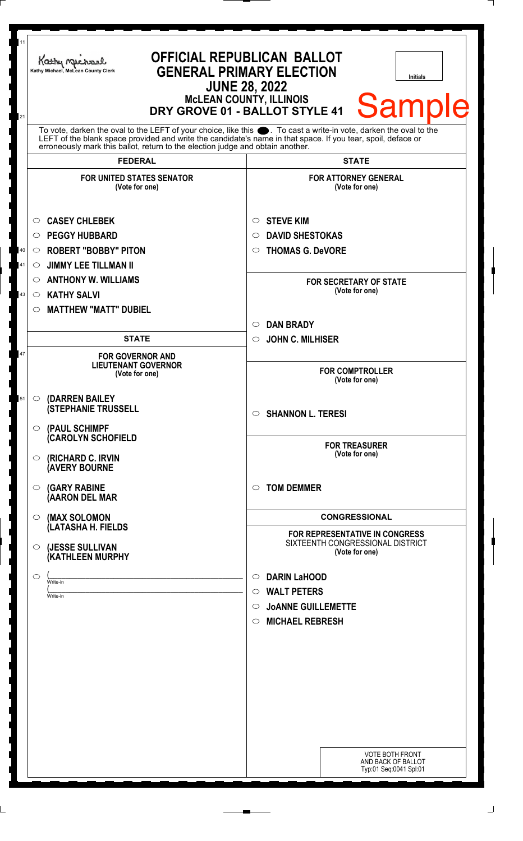| 11       | Kathy Michael<br>Kathy Michael, McLean County Clerk<br>DRY GROVE 01 - BALLOT STYLE 41                                                                                                                                                                                                                               | <b>OFFICIAL REPUBLICAN BALLOT</b><br><b>GENERAL PRIMARY ELECTION</b><br><b>Initials</b><br><b>JUNE 28, 2022</b><br><b>McLEAN COUNTY, ILLINOIS</b><br><b>Sample</b> |
|----------|---------------------------------------------------------------------------------------------------------------------------------------------------------------------------------------------------------------------------------------------------------------------------------------------------------------------|--------------------------------------------------------------------------------------------------------------------------------------------------------------------|
| 21       | To vote, darken the oval to the LEFT of your choice, like this ●. To cast a write-in vote, darken the oval to the<br>LEFT of the blank space provided and write the candidate's name in that space. If you tear, spoil, deface or<br>erroneously mark this ballot, return to the election judge and obtain another. |                                                                                                                                                                    |
|          | <b>FEDERAL</b>                                                                                                                                                                                                                                                                                                      | <b>STATE</b>                                                                                                                                                       |
|          | <b>FOR UNITED STATES SENATOR</b><br>(Vote for one)                                                                                                                                                                                                                                                                  | <b>FOR ATTORNEY GENERAL</b><br>(Vote for one)                                                                                                                      |
| $40\,$   | <b>CASEY CHLEBEK</b><br>O<br><b>PEGGY HUBBARD</b><br>$\circ$<br><b>ROBERT "BOBBY" PITON</b><br>$\circ$                                                                                                                                                                                                              | <b>STEVE KIM</b><br>$\circ$<br><b>DAVID SHESTOKAS</b><br>$\circ$<br><b>THOMAS G. DeVORE</b><br>$\circ$                                                             |
| 41<br>43 | <b>JIMMY LEE TILLMAN II</b><br>$\circ$<br><b>ANTHONY W. WILLIAMS</b><br>$\circ$<br><b>KATHY SALVI</b><br>$\circ$<br><b>MATTHEW "MATT" DUBIEL</b><br>O                                                                                                                                                               | <b>FOR SECRETARY OF STATE</b><br>(Vote for one)                                                                                                                    |
|          |                                                                                                                                                                                                                                                                                                                     | <b>DAN BRADY</b><br>$\circ$                                                                                                                                        |
| 47       | <b>STATE</b><br><b>FOR GOVERNOR AND</b><br><b>LIEUTENANT GOVERNOR</b><br>(Vote for one)                                                                                                                                                                                                                             | <b>JOHN C. MILHISER</b><br>$\circ$<br><b>FOR COMPTROLLER</b>                                                                                                       |
| 51       | <b>(DARREN BAILEY)</b><br>$\circ$<br><b>(STEPHANIE TRUSSELL</b><br>(PAUL SCHIMPF<br>$\circ$                                                                                                                                                                                                                         | (Vote for one)<br>$\circ$ SHANNON L. TERESI                                                                                                                        |
|          | <b>(CAROLYN SCHOFIELD</b><br>(RICHARD C. IRVIN<br>O<br><b>(AVERY BOURNE</b>                                                                                                                                                                                                                                         | <b>FOR TREASURER</b><br>(Vote for one)                                                                                                                             |
|          | <b>(GARY RABINE</b><br>O<br>(AARON DEL MAR                                                                                                                                                                                                                                                                          | <b>TOM DEMMER</b><br>$\circ$                                                                                                                                       |
|          | (MAX SOLOMON<br>$\circ$<br>(LATASHA H. FIELDS                                                                                                                                                                                                                                                                       | <b>CONGRESSIONAL</b><br><b>FOR REPRESENTATIVE IN CONGRESS</b>                                                                                                      |
|          | (JESSE SULLIVAN<br>O<br>(KATHLEEN MURPHY                                                                                                                                                                                                                                                                            | SIXTEENTH CONGRESSIONAL DISTRICT<br>(Vote for one)                                                                                                                 |
|          | O<br>Write-in<br>Write-in                                                                                                                                                                                                                                                                                           | <b>DARIN LaHOOD</b><br>$\circ$<br><b>WALT PETERS</b><br>$\circ$<br><b>JOANNE GUILLEMETTE</b><br>$\circ$<br><b>MICHAEL REBRESH</b><br>$\circ$                       |
|          |                                                                                                                                                                                                                                                                                                                     | <b>VOTE BOTH FRONT</b><br>AND BACK OF BALLOT<br>Typ:01 Seq:0041 Spl:01                                                                                             |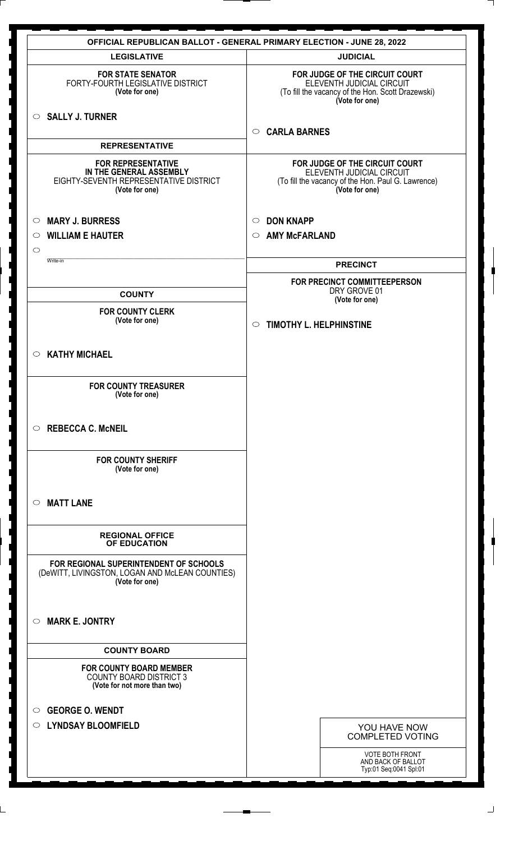|                                                                                                                  | <b>OFFICIAL REPUBLICAN BALLOT - GENERAL PRIMARY ELECTION - JUNE 28, 2022</b>                                                        |
|------------------------------------------------------------------------------------------------------------------|-------------------------------------------------------------------------------------------------------------------------------------|
| <b>LEGISLATIVE</b>                                                                                               | <b>JUDICIAL</b>                                                                                                                     |
| <b>FOR STATE SENATOR</b><br>FORTY-FOURTH LEGISLATIVE DISTRICT<br>(Vote for one)                                  | FOR JUDGE OF THE CIRCUIT COURT<br>ELEVENTH JUDICIAL CIRCUIT<br>(To fill the vacancy of the Hon. Scott Drazewski)<br>(Vote for one)  |
| $\circ$ SALLY J. TURNER                                                                                          | <b>CARLA BARNES</b><br>$\circ$                                                                                                      |
| <b>REPRESENTATIVE</b>                                                                                            |                                                                                                                                     |
| <b>FOR REPRESENTATIVE</b><br>IN THE GENERAL ASSEMBLY<br>EIGHTY-SEVENTH REPRESENTATIVE DISTRICT<br>(Vote for one) | FOR JUDGE OF THE CIRCUIT COURT<br>ELEVENTH JUDICIAL CIRCUIT<br>(To fill the vacancy of the Hon. Paul G. Lawrence)<br>(Vote for one) |
| <b>MARY J. BURRESS</b><br>$\circ$                                                                                | <b>DON KNAPP</b><br>$\circ$                                                                                                         |
| <b>WILLIAM E HAUTER</b><br>$\circ$                                                                               | <b>AMY McFARLAND</b><br>$\circ$                                                                                                     |
| $\circ$                                                                                                          |                                                                                                                                     |
| Write-in                                                                                                         | <b>PRECINCT</b>                                                                                                                     |
| <b>COUNTY</b>                                                                                                    | FOR PRECINCT COMMITTEEPERSON<br>DRY GROVE 01<br>(Vote for one)                                                                      |
| <b>FOR COUNTY CLERK</b><br>(Vote for one)                                                                        | <b>TIMOTHY L. HELPHINSTINE</b><br>$\circ$                                                                                           |
| <b>KATHY MICHAEL</b><br>$\circ$                                                                                  |                                                                                                                                     |
| <b>FOR COUNTY TREASURER</b><br>(Vote for one)                                                                    |                                                                                                                                     |
| <b>REBECCA C. McNEIL</b><br>$\circ$                                                                              |                                                                                                                                     |
| <b>FOR COUNTY SHERIFF</b><br>(Vote for one)                                                                      |                                                                                                                                     |
| <b>MATT LANE</b><br>$\circ$                                                                                      |                                                                                                                                     |
| <b>REGIONAL OFFICE</b><br>OF EDUCATION                                                                           |                                                                                                                                     |
| FOR REGIONAL SUPERINTENDENT OF SCHOOLS<br>(DeWITT, LIVINGSTON, LOGAN AND McLEAN COUNTIES)<br>(Vote for one)      |                                                                                                                                     |
| <b>MARK E. JONTRY</b><br>◯                                                                                       |                                                                                                                                     |
| <b>COUNTY BOARD</b>                                                                                              |                                                                                                                                     |
| <b>FOR COUNTY BOARD MEMBER</b><br><b>COUNTY BOARD DISTRICT 3</b><br>(Vote for not more than two)                 |                                                                                                                                     |
| <b>GEORGE O. WENDT</b><br>$\circ$                                                                                |                                                                                                                                     |
| <b>LYNDSAY BLOOMFIELD</b><br>$\circ$                                                                             | YOU HAVE NOW<br><b>COMPLETED VOTING</b>                                                                                             |
|                                                                                                                  | VOTE BOTH FRONT                                                                                                                     |
|                                                                                                                  | AND BACK OF BALLOT<br>Typ:01 Seq:0041 Spl:01                                                                                        |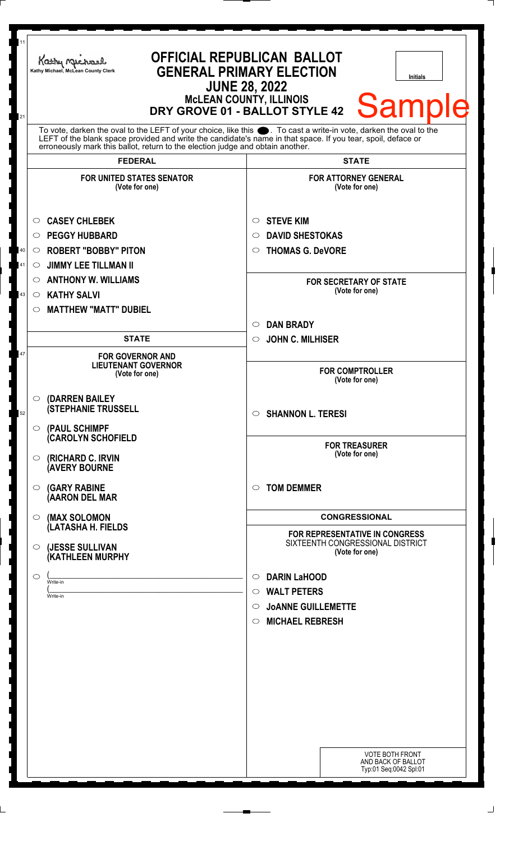| 11<br>21 | Kathy Michael<br>Kathy Michael, McLean County Clerk                                                                                                                                                                                                                                                                    | <b>OFFICIAL REPUBLICAN BALLOT</b><br><b>GENERAL PRIMARY ELECTION</b><br>Initials<br><b>JUNE 28, 2022</b><br>McLEAN COUNTY, ILLINOIS<br>DRY GROVE 01 - BALLOT STYLE 42<br><b>Sample</b> |
|----------|------------------------------------------------------------------------------------------------------------------------------------------------------------------------------------------------------------------------------------------------------------------------------------------------------------------------|----------------------------------------------------------------------------------------------------------------------------------------------------------------------------------------|
|          | To vote, darken the oval to the LEFT of your choice, like this $\bullet$ . To cast a write-in vote, darken the oval to the LEFT of the blank space provided and write the candidate's name in that space. If you tear, spoil, deface<br>erroneously mark this ballot, return to the election judge and obtain another. |                                                                                                                                                                                        |
|          | <b>FEDERAL</b>                                                                                                                                                                                                                                                                                                         | <b>STATE</b>                                                                                                                                                                           |
|          | <b>FOR UNITED STATES SENATOR</b><br>(Vote for one)                                                                                                                                                                                                                                                                     | <b>FOR ATTORNEY GENERAL</b><br>(Vote for one)                                                                                                                                          |
|          | <b>CASEY CHLEBEK</b><br>$\circ$                                                                                                                                                                                                                                                                                        | <b>STEVE KIM</b><br>$\circ$                                                                                                                                                            |
|          | <b>PEGGY HUBBARD</b><br>$\circ$                                                                                                                                                                                                                                                                                        | <b>DAVID SHESTOKAS</b><br>$\circ$                                                                                                                                                      |
| $40\,$   | <b>ROBERT "BOBBY" PITON</b><br>$\circ$                                                                                                                                                                                                                                                                                 | <b>THOMAS G. DeVORE</b><br>$\circ$                                                                                                                                                     |
| 41       | <b>JIMMY LEE TILLMAN II</b><br>O                                                                                                                                                                                                                                                                                       |                                                                                                                                                                                        |
|          | <b>ANTHONY W. WILLIAMS</b><br>$\circ$                                                                                                                                                                                                                                                                                  | <b>FOR SECRETARY OF STATE</b>                                                                                                                                                          |
| 43       | <b>KATHY SALVI</b><br>$\circ$                                                                                                                                                                                                                                                                                          | (Vote for one)                                                                                                                                                                         |
|          | <b>MATTHEW "MATT" DUBIEL</b><br>O                                                                                                                                                                                                                                                                                      |                                                                                                                                                                                        |
|          |                                                                                                                                                                                                                                                                                                                        | <b>DAN BRADY</b><br>$\circ$                                                                                                                                                            |
|          | <b>STATE</b>                                                                                                                                                                                                                                                                                                           | <b>JOHN C. MILHISER</b><br>$\circ$                                                                                                                                                     |
| 47       | <b>FOR GOVERNOR AND</b><br><b>LIEUTENANT GOVERNOR</b><br>(Vote for one)                                                                                                                                                                                                                                                | <b>FOR COMPTROLLER</b><br>(Vote for one)                                                                                                                                               |
| 52       | (DARREN BAILEY<br>$\circ$<br><b>(STEPHANIE TRUSSELL</b><br>(PAUL SCHIMPF<br>$\circ$                                                                                                                                                                                                                                    | $\circ$ SHANNON L. TERESI                                                                                                                                                              |
|          | <b>CAROLYN SCHOFIELD</b><br>(RICHARD C. IRVIN<br>O<br><b>(AVERY BOURNE</b>                                                                                                                                                                                                                                             | <b>FOR TREASURER</b><br>(Vote for one)                                                                                                                                                 |
|          | <b>(GARY RABINE</b><br>$\circ$<br>(AARON DEL MAR                                                                                                                                                                                                                                                                       | <b>TOM DEMMER</b><br>$\circ$                                                                                                                                                           |
|          | (MAX SOLOMON<br>$\circ$                                                                                                                                                                                                                                                                                                | <b>CONGRESSIONAL</b>                                                                                                                                                                   |
|          | (LATASHA H. FIELDS                                                                                                                                                                                                                                                                                                     | <b>FOR REPRESENTATIVE IN CONGRESS</b>                                                                                                                                                  |
|          | (JESSE SULLIVAN<br>$\circ$<br>(KATHLEEN MURPHY                                                                                                                                                                                                                                                                         | SIXTEENTH CONGRESSIONAL DISTRICT<br>(Vote for one)                                                                                                                                     |
|          | $\circlearrowright$<br>Write-in                                                                                                                                                                                                                                                                                        | <b>DARIN LaHOOD</b><br>$\circ$                                                                                                                                                         |
|          | Write-in                                                                                                                                                                                                                                                                                                               | <b>WALT PETERS</b><br>$\circ$                                                                                                                                                          |
|          |                                                                                                                                                                                                                                                                                                                        | <b>JOANNE GUILLEMETTE</b><br>$\circ$                                                                                                                                                   |
|          |                                                                                                                                                                                                                                                                                                                        | <b>MICHAEL REBRESH</b><br>$\circ$                                                                                                                                                      |
|          |                                                                                                                                                                                                                                                                                                                        |                                                                                                                                                                                        |
|          |                                                                                                                                                                                                                                                                                                                        |                                                                                                                                                                                        |
|          |                                                                                                                                                                                                                                                                                                                        |                                                                                                                                                                                        |
|          |                                                                                                                                                                                                                                                                                                                        |                                                                                                                                                                                        |
|          |                                                                                                                                                                                                                                                                                                                        |                                                                                                                                                                                        |
|          |                                                                                                                                                                                                                                                                                                                        |                                                                                                                                                                                        |
|          |                                                                                                                                                                                                                                                                                                                        | <b>VOTE BOTH FRONT</b><br>AND BACK OF BALLOT<br>Typ:01 Seq:0042 Spl:01                                                                                                                 |
|          |                                                                                                                                                                                                                                                                                                                        |                                                                                                                                                                                        |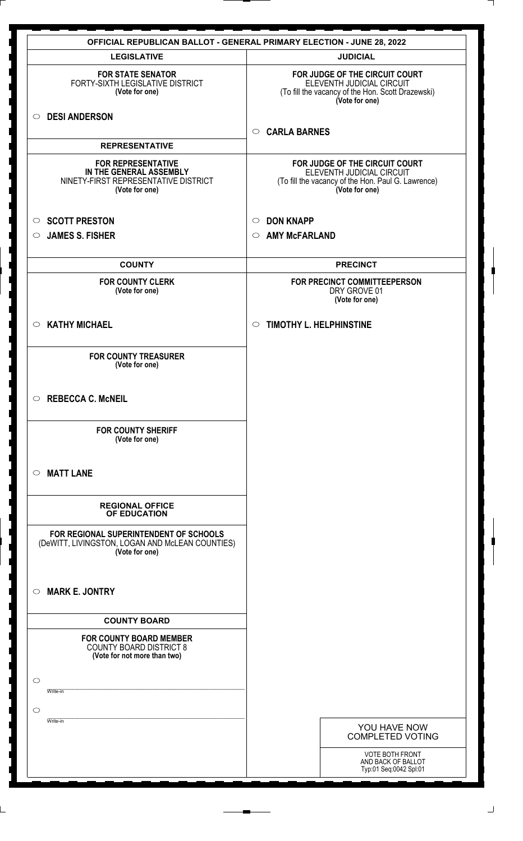|                                                                                                                | <b>OFFICIAL REPUBLICAN BALLOT - GENERAL PRIMARY ELECTION - JUNE 28, 2022</b>                                                        |
|----------------------------------------------------------------------------------------------------------------|-------------------------------------------------------------------------------------------------------------------------------------|
| <b>LEGISLATIVE</b>                                                                                             | <b>JUDICIAL</b>                                                                                                                     |
| <b>FOR STATE SENATOR</b><br>FORTY-SIXTH LEGISLATIVE DISTRICT<br>(Vote for one)                                 | FOR JUDGE OF THE CIRCUIT COURT<br>ELEVENTH JUDICIAL CIRCUIT<br>(To fill the vacancy of the Hon. Scott Drazewski)<br>(Vote for one)  |
| O DESI ANDERSON                                                                                                | <b>CARLA BARNES</b><br>$\circ$                                                                                                      |
| <b>REPRESENTATIVE</b>                                                                                          |                                                                                                                                     |
| <b>FOR REPRESENTATIVE</b><br>IN THE GENERAL ASSEMBLY<br>NINETY-FIRST REPRESENTATIVE DISTRICT<br>(Vote for one) | FOR JUDGE OF THE CIRCUIT COURT<br>ELEVENTH JUDICIAL CIRCUIT<br>(To fill the vacancy of the Hon. Paul G. Lawrence)<br>(Vote for one) |
| <b>SCOTT PRESTON</b><br>$\circ$                                                                                | <b>DON KNAPP</b><br>$\circ$                                                                                                         |
| <b>JAMES S. FISHER</b><br>$\circ$                                                                              | <b>AMY McFARLAND</b><br>$\circ$                                                                                                     |
| <b>COUNTY</b>                                                                                                  | <b>PRECINCT</b>                                                                                                                     |
| <b>FOR COUNTY CLERK</b><br>(Vote for one)                                                                      | FOR PRECINCT COMMITTEEPERSON<br>DRY GROVE 01<br>(Vote for one)                                                                      |
| <b>KATHY MICHAEL</b><br>$\circ$                                                                                | <b>TIMOTHY L. HELPHINSTINE</b><br>$\circ$                                                                                           |
| <b>FOR COUNTY TREASURER</b><br>(Vote for one)                                                                  |                                                                                                                                     |
| <b>REBECCA C. McNEIL</b><br>$\circ$                                                                            |                                                                                                                                     |
| <b>FOR COUNTY SHERIFF</b><br>(Vote for one)                                                                    |                                                                                                                                     |
| <b>MATT LANE</b><br>$\circ$                                                                                    |                                                                                                                                     |
| <b>REGIONAL OFFICE</b><br>OF EDUCATION                                                                         |                                                                                                                                     |
| FOR REGIONAL SUPERINTENDENT OF SCHOOLS<br>(DeWITT, LIVINGSTON, LOGAN AND McLEAN COUNTIES)<br>(Vote for one)    |                                                                                                                                     |
| <b>MARK E. JONTRY</b><br>$\circ$                                                                               |                                                                                                                                     |
| <b>COUNTY BOARD</b>                                                                                            |                                                                                                                                     |
| <b>FOR COUNTY BOARD MEMBER</b><br><b>COUNTY BOARD DISTRICT 8</b><br>(Vote for not more than two)               |                                                                                                                                     |
| $\circ$<br>Write-in                                                                                            |                                                                                                                                     |
| $\circ$                                                                                                        |                                                                                                                                     |
| Write-in                                                                                                       | YOU HAVE NOW<br><b>COMPLETED VOTING</b>                                                                                             |
|                                                                                                                | <b>VOTE BOTH FRONT</b><br>AND BACK OF BALLOT<br>Typ:01 Seq:0042 Spl:01                                                              |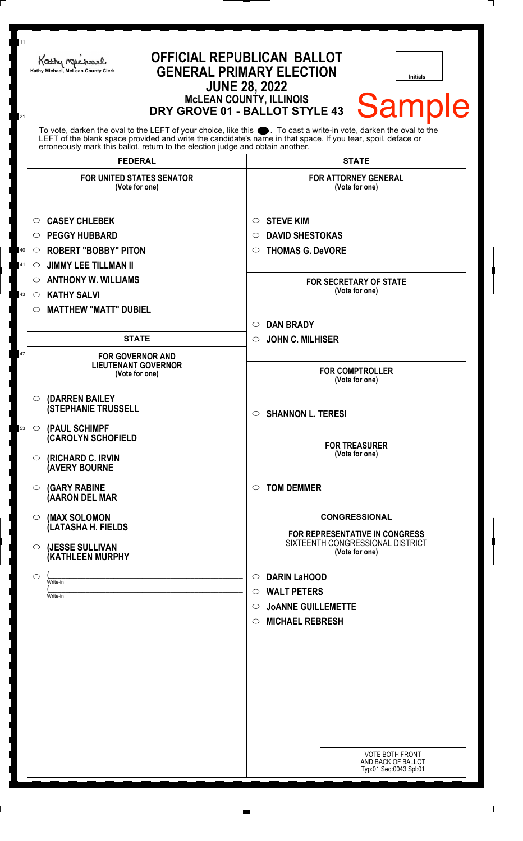| 11<br>21 | Kathy Michael<br>Kathy Michael, McLean County Clerk                                                                                                                                                                                                                                                                | <b>OFFICIAL REPUBLICAN BALLOT</b><br><b>GENERAL PRIMARY ELECTION</b><br><b>Initials</b><br><b>JUNE 28, 2022</b><br>McLEAN COUNTY, ILLINOIS<br>DRY GROVE 01 - BALLOT STYLE 43<br><b>Sample</b> |
|----------|--------------------------------------------------------------------------------------------------------------------------------------------------------------------------------------------------------------------------------------------------------------------------------------------------------------------|-----------------------------------------------------------------------------------------------------------------------------------------------------------------------------------------------|
|          | To vote, darken the oval to the LEFT of your choice, like this . To cast a write-in vote, darken the oval to the<br>LEFT of the blank space provided and write the candidate's name in that space. If you tear, spoil, deface or<br>erroneously mark this ballot, return to the election judge and obtain another. |                                                                                                                                                                                               |
|          | <b>FEDERAL</b>                                                                                                                                                                                                                                                                                                     | <b>STATE</b>                                                                                                                                                                                  |
|          | <b>FOR UNITED STATES SENATOR</b><br>(Vote for one)                                                                                                                                                                                                                                                                 | <b>FOR ATTORNEY GENERAL</b><br>(Vote for one)                                                                                                                                                 |
|          | <b>CASEY CHLEBEK</b><br>O                                                                                                                                                                                                                                                                                          | <b>STEVE KIM</b><br>$\circ$                                                                                                                                                                   |
|          | <b>PEGGY HUBBARD</b><br>$\circ$                                                                                                                                                                                                                                                                                    | <b>DAVID SHESTOKAS</b><br>$\circ$                                                                                                                                                             |
| 40       | <b>ROBERT "BOBBY" PITON</b><br>$\circ$                                                                                                                                                                                                                                                                             | <b>THOMAS G. DeVORE</b><br>$\circ$                                                                                                                                                            |
| 41       | <b>JIMMY LEE TILLMAN II</b><br>$\circ$                                                                                                                                                                                                                                                                             |                                                                                                                                                                                               |
|          | <b>ANTHONY W. WILLIAMS</b><br>O                                                                                                                                                                                                                                                                                    | <b>FOR SECRETARY OF STATE</b>                                                                                                                                                                 |
| 43       | <b>KATHY SALVI</b><br>$\circ$                                                                                                                                                                                                                                                                                      | (Vote for one)                                                                                                                                                                                |
|          | <b>MATTHEW "MATT" DUBIEL</b><br>$\circ$                                                                                                                                                                                                                                                                            |                                                                                                                                                                                               |
|          |                                                                                                                                                                                                                                                                                                                    | <b>DAN BRADY</b><br>$\circ$                                                                                                                                                                   |
|          | <b>STATE</b>                                                                                                                                                                                                                                                                                                       | <b>JOHN C. MILHISER</b><br>$\circ$                                                                                                                                                            |
| 47       | <b>FOR GOVERNOR AND</b><br><b>LIEUTENANT GOVERNOR</b><br>(Vote for one)                                                                                                                                                                                                                                            | <b>FOR COMPTROLLER</b><br>(Vote for one)                                                                                                                                                      |
| 53       | (DARREN BAILEY<br>$\circ$<br><b>(STEPHANIE TRUSSELL</b><br>(PAUL SCHIMPF<br>$\circ$                                                                                                                                                                                                                                | $\circ$ SHANNON L. TERESI                                                                                                                                                                     |
|          | <b>CAROLYN SCHOFIELD</b><br>(RICHARD C. IRVIN<br>O                                                                                                                                                                                                                                                                 | <b>FOR TREASURER</b><br>(Vote for one)                                                                                                                                                        |
|          | <b>(AVERY BOURNE</b><br><b>(GARY RABINE</b><br>O<br>(AARON DEL MAR                                                                                                                                                                                                                                                 | <b>TOM DEMMER</b><br>$\circ$                                                                                                                                                                  |
|          | (MAX SOLOMON<br>$\circ$                                                                                                                                                                                                                                                                                            | <b>CONGRESSIONAL</b>                                                                                                                                                                          |
|          | (LATASHA H. FIELDS                                                                                                                                                                                                                                                                                                 | <b>FOR REPRESENTATIVE IN CONGRESS</b>                                                                                                                                                         |
|          | (JESSE SULLIVAN<br>$\circ$<br>(KATHLEEN MURPHY                                                                                                                                                                                                                                                                     | SIXTEENTH CONGRESSIONAL DISTRICT<br>(Vote for one)                                                                                                                                            |
|          | O<br>Write-in                                                                                                                                                                                                                                                                                                      | <b>DARIN LaHOOD</b><br>$\circ$                                                                                                                                                                |
|          | Write-in                                                                                                                                                                                                                                                                                                           | <b>WALT PETERS</b><br>$\circ$                                                                                                                                                                 |
|          |                                                                                                                                                                                                                                                                                                                    | <b>JOANNE GUILLEMETTE</b><br>◯                                                                                                                                                                |
|          |                                                                                                                                                                                                                                                                                                                    | <b>MICHAEL REBRESH</b><br>$\circ$                                                                                                                                                             |
|          |                                                                                                                                                                                                                                                                                                                    |                                                                                                                                                                                               |
|          |                                                                                                                                                                                                                                                                                                                    |                                                                                                                                                                                               |
|          |                                                                                                                                                                                                                                                                                                                    |                                                                                                                                                                                               |
|          |                                                                                                                                                                                                                                                                                                                    |                                                                                                                                                                                               |
|          |                                                                                                                                                                                                                                                                                                                    |                                                                                                                                                                                               |
|          |                                                                                                                                                                                                                                                                                                                    | <b>VOTE BOTH FRONT</b>                                                                                                                                                                        |
|          |                                                                                                                                                                                                                                                                                                                    | AND BACK OF BALLOT<br>Typ:01 Seq:0043 Spl:01                                                                                                                                                  |
|          |                                                                                                                                                                                                                                                                                                                    |                                                                                                                                                                                               |